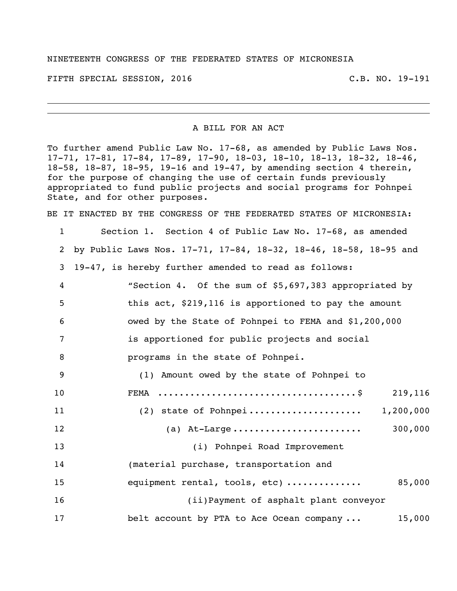## NINETEENTH CONGRESS OF THE FEDERATED STATES OF MICRONESIA

FIFTH SPECIAL SESSION, 2016 C.B. NO. 19-191

## A BILL FOR AN ACT

To further amend Public Law No. 17-68, as amended by Public Laws Nos. 17-71, 17-81, 17-84, 17-89, 17-90, 18-03, 18-10, 18-13, 18-32, 18-46, 18-58, 18-87, 18-95, 19-16 and 19-47, by amending section 4 therein, for the purpose of changing the use of certain funds previously appropriated to fund public projects and social programs for Pohnpei State, and for other purposes.

BE IT ENACTED BY THE CONGRESS OF THE FEDERATED STATES OF MICRONESIA:

| $\mathbf 1$ | Section 1. Section 4 of Public Law No. 17-68, as amended         |
|-------------|------------------------------------------------------------------|
| 2           | by Public Laws Nos. 17-71, 17-84, 18-32, 18-46, 18-58, 18-95 and |
| 3           | 19-47, is hereby further amended to read as follows:             |
| 4           | "Section 4. Of the sum of \$5,697,383 appropriated by            |
| 5           | this act, \$219,116 is apportioned to pay the amount             |
| 6           | owed by the State of Pohnpei to FEMA and \$1,200,000             |
| 7           | is apportioned for public projects and social                    |
| 8           | programs in the state of Pohnpei.                                |
| 9           | (1) Amount owed by the state of Pohnpei to                       |
| 10          | 219,116<br>FEMA                                                  |
| 11          | 1,200,000                                                        |
| 12          | 300,000<br>(a) At-Large                                          |
| 13          | (i) Pohnpei Road Improvement                                     |
| 14          | (material purchase, transportation and                           |
| 15          | 85,000<br>equipment rental, tools, etc)                          |
| 16          | (ii) Payment of asphalt plant conveyor                           |
| 17          | belt account by PTA to Ace Ocean company<br>15,000               |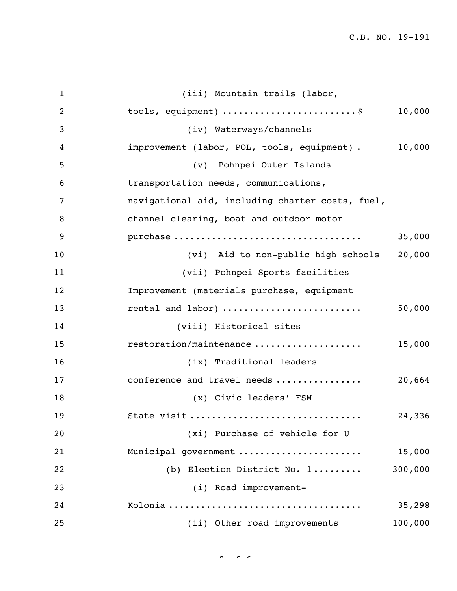C.B. NO. 19-191

| $\mathbf{1}$     | (iii) Mountain trails (labor,                         |
|------------------|-------------------------------------------------------|
| $\overline{2}$   | tools, equipment) \$<br>10,000                        |
| 3                | (iv) Waterways/channels                               |
| $\boldsymbol{4}$ | 10,000<br>improvement (labor, POL, tools, equipment). |
| 5                | (v) Pohnpei Outer Islands                             |
| 6                | transportation needs, communications,                 |
| 7                | navigational aid, including charter costs, fuel,      |
| 8                | channel clearing, boat and outdoor motor              |
| 9                | purchase<br>35,000                                    |
| 10               | 20,000<br>(vi) Aid to non-public high schools         |
| 11               | (vii) Pohnpei Sports facilities                       |
| 12               | Improvement (materials purchase, equipment            |
| 13               | rental and labor)<br>50,000                           |
| 14               | (viii) Historical sites                               |
| 15               | restoration/maintenance<br>15,000                     |
| 16               | (ix) Traditional leaders                              |
| 17               | conference and travel needs<br>20,664                 |
| 18               | (x) Civic leaders' FSM                                |
| 19               | 24,336<br>State visit                                 |
| 20               | (xi) Purchase of vehicle for U                        |
| 21               | 15,000<br>Municipal government                        |
| 22               | 300,000<br>(b) Election District No. 1                |
| 23               | (i) Road improvement-                                 |
| 24               | 35,298                                                |
| 25               | (ii) Other road improvements<br>100,000               |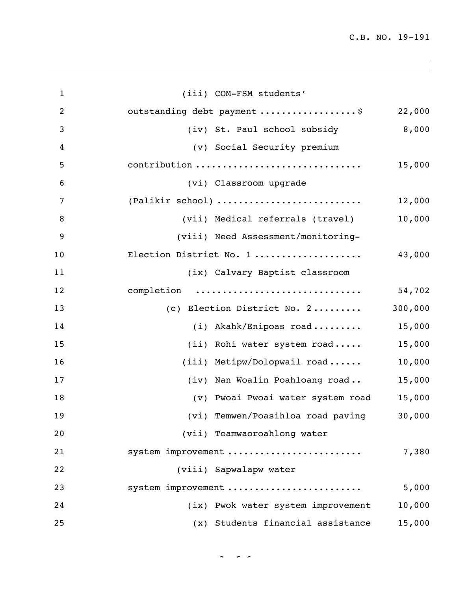C.B. NO. 19-191

| $\mathbf{1}$   | (iii) COM-FSM students'                                   |
|----------------|-----------------------------------------------------------|
| $\overline{c}$ | outstanding debt payment \$<br>22,000                     |
| 3              | 8,000<br>(iv) St. Paul school subsidy                     |
| 4              | (v) Social Security premium                               |
| 5              | contribution<br>15,000                                    |
| 6              | (vi) Classroom upgrade                                    |
| 7              | (Palikir school)<br>12,000                                |
| 8              | 10,000<br>(vii) Medical referrals (travel)                |
| 9              | (viii) Need Assessment/monitoring-                        |
| 10             | 43,000<br>Election District No. 1                         |
| 11             | (ix) Calvary Baptist classroom                            |
| 12             | completion<br>54,702                                      |
| 13             | 300,000<br>(c) Election District No. 2                    |
| 14             | 15,000<br>(i) Akahk/Enipoas road                          |
| 15             | 15,000<br>(ii) Rohi water system road                     |
| 16             | 10,000<br>(iii) Metipw/Dolopwail road                     |
| 17             | 15,000<br>(iv) Nan Woalin Poahloang road                  |
| 18             | (v) Pwoai Pwoai water system road<br>15,000               |
| 19             | (vi) Temwen/Poasihloa road paving<br>30,000               |
| 20             | (vii) Toamwaoroahlong water                               |
| 21             | system improvement<br>7,380                               |
| 22             | (viii) Sapwalapw water                                    |
| 23             | 5,000<br>system improvement                               |
| 24             | (ix) Pwok water system improvement<br>10,000              |
| 25             | Students financial assistance<br>15,000<br>$(\mathbf{x})$ |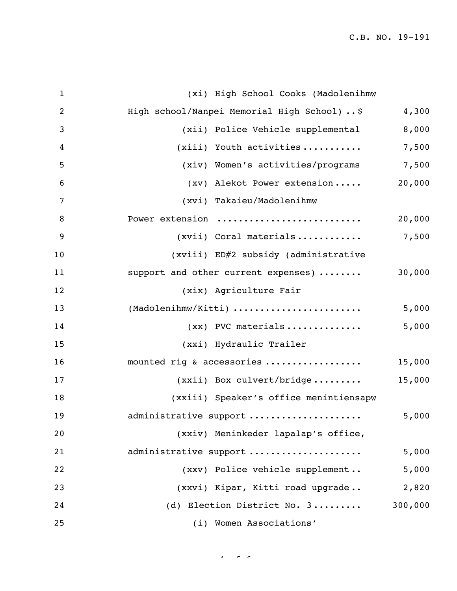|                                        | 4,300                                                                                                                                                                                    |
|----------------------------------------|------------------------------------------------------------------------------------------------------------------------------------------------------------------------------------------|
| (xii) Police Vehicle supplemental      | 8,000                                                                                                                                                                                    |
| $(xiii)$ Youth activities              | 7,500                                                                                                                                                                                    |
| (xiv) Women's activities/programs      | 7,500                                                                                                                                                                                    |
|                                        | 20,000                                                                                                                                                                                   |
| (xvi) Takaieu/Madolenihmw              |                                                                                                                                                                                          |
| Power extension                        | 20,000                                                                                                                                                                                   |
| (xvii) Coral materials                 | 7,500                                                                                                                                                                                    |
| (xviii) ED#2 subsidy (administrative   |                                                                                                                                                                                          |
|                                        | 30,000                                                                                                                                                                                   |
| (xix) Agriculture Fair                 |                                                                                                                                                                                          |
| (Madolenihmw/Kitti)                    | 5,000                                                                                                                                                                                    |
| $(xx)$ PVC materials                   | 5,000                                                                                                                                                                                    |
| (xxi) Hydraulic Trailer                |                                                                                                                                                                                          |
| mounted rig & accessories              | 15,000                                                                                                                                                                                   |
|                                        | 15,000                                                                                                                                                                                   |
| (xxiii) Speaker's office menintiensapw |                                                                                                                                                                                          |
| administrative support                 | 5,000                                                                                                                                                                                    |
| (xxiv) Meninkeder lapalap's office,    |                                                                                                                                                                                          |
| administrative support                 | 5,000                                                                                                                                                                                    |
| (xxv) Police vehicle supplement        | 5,000                                                                                                                                                                                    |
| (xxvi) Kipar, Kitti road upgrade       | 2,820                                                                                                                                                                                    |
| (d) Election District No. 3            | 300,000                                                                                                                                                                                  |
| (i) Women Associations'                |                                                                                                                                                                                          |
|                                        | (xi) High School Cooks (Madolenihmw<br>High school/Nanpei Memorial High School)  \$<br>(xv) Alekot Power extension<br>support and other current expenses)<br>$(xxii)$ Box culvert/bridge |

 $44.6 \times 10^{-4}$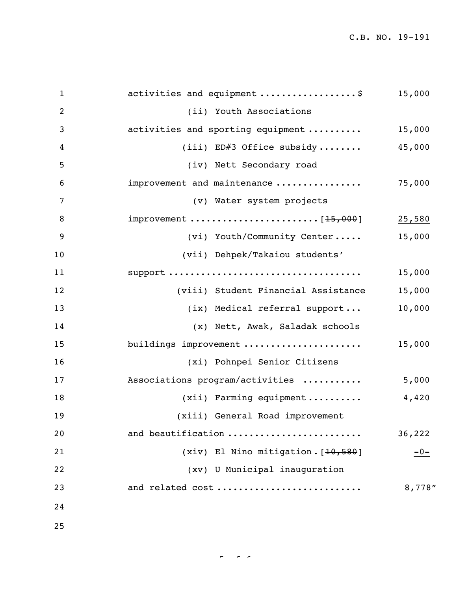C.B. NO. 19-191

| $\mathbf{1}$   | activities and equipment \$         | 15,000  |
|----------------|-------------------------------------|---------|
| 2              | (ii) Youth Associations             |         |
| 3              | activities and sporting equipment   | 15,000  |
| $\overline{4}$ | $(iii)$ ED#3 Office subsidy         | 45,000  |
| 5              | (iv) Nett Secondary road            |         |
| 6              | improvement and maintenance         | 75,000  |
| 7              | (v) Water system projects           |         |
| 8              |                                     | 25,580  |
| 9              | (vi) Youth/Community Center         | 15,000  |
| 10             | (vii) Dehpek/Takaiou students'      |         |
| 11             |                                     | 15,000  |
| 12             | (viii) Student Financial Assistance | 15,000  |
| 13             | (ix) Medical referral support       | 10,000  |
| 14             | (x) Nett, Awak, Saladak schools     |         |
| 15             | buildings improvement               | 15,000  |
| 16             | (xi) Pohnpei Senior Citizens        |         |
| 17             | Associations program/activities     | 5,000   |
| 18             | $(xii)$ Farming equipment           | 4,420   |
| 19             | (xiii) General Road improvement     |         |
| 20             | and beautification                  | 36,222  |
| 21             | (xiv) El Nino mitigation. [10,580]  | $-0-$   |
| 22             | (xv) U Municipal inauguration       |         |
| 23             | and related cost                    | 8,778'' |
| 24             |                                     |         |
| 25             |                                     |         |